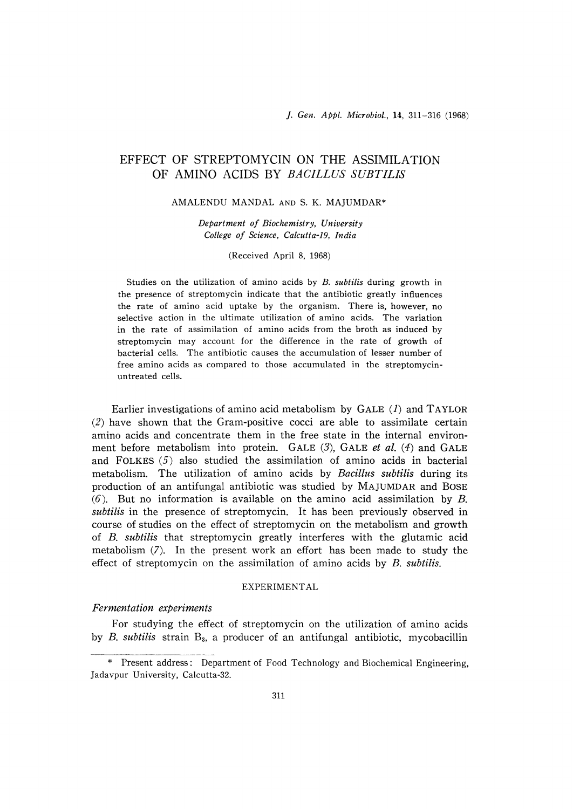# EFFECT OF STREPTOMYCIN ON THE ASSIMILATION OF AMINO ACIDS BY BACILLUS SUBTILIS

#### AMALENDU MANDAL AND S. K. MAJUMDAR\*

Department of Biochemistry, University College of Science, Calcutta-19, India

(Received April 8, 1968)

Studies on the utilization of amino acids by B. subtilis during growth in the presence of streptomycin indicate that the antibiotic greatly influences the rate of amino acid uptake by the organism. There is, however, no selective action in the ultimate utilization of amino acids. The variation in the rate of assimilation of amino acids from the broth as induced by streptomycin may account for the difference in the rate of growth of bacterial cells. The antibiotic causes the accumulation of lesser number of free amino acids as compared to those accumulated in the streptomycinuntreated cells.

Earlier investigations of amino acid metabolism by GALE  $(l)$  and TAYLOR (2) have shown that the Gram-positive cocci are able to assimilate certain amino acids and concentrate them in the free state in the internal environment before metabolism into protein. GALE  $(3)$ , GALE *et al.*  $(4)$  and GALE and FOLKES (5) also studied the assimilation of amino acids in bacterial metabolism. The utilization of amino acids by Bacillus subtilis during its production of an antifungal antibiotic was studied by MAJUMDAR and BOSS  $(6)$ . But no information is available on the amino acid assimilation by B. subtilis in the presence of streptomycin. It has been previously observed in course of studies on the effect of streptomycin on the metabolism and growth of B. subtilis that streptomycin greatly interferes with the glutamic acid metabolism (7). In the present work an effort has been made to study the effect of streptomycin on the assimilation of amino acids by  $B$ , subtilis.

## EXPERIMENTAL

## Fermentation experiments

For studying the effect of streptomycin on the utilization of amino acids by B. subtilis strain  $B_3$ , a producer of an antifungal antibiotic, mycobacillin

<sup>\*</sup> Present address: Department of Food Technology and Biochemical Engineering, Jadavpur University, Calcutta-32.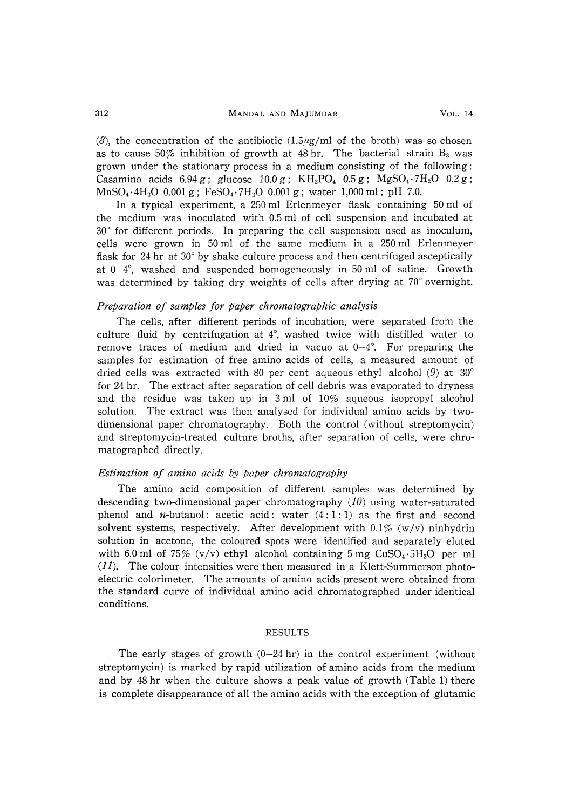### 312 MANDAL AND MAJUMDAR VOL. 14

(8), the concentration of the antibiotic  $(1.5\mu g/ml)$  of the broth) was so chosen as to cause 50% inhibition of growth at 48 hr. The bacterial strain  $B_3$  was grown under the stationary process in a medium consisting of the following : Casamino acids  $6.94 \text{ g}$ ; glucose  $10.0 \text{ g}$ ; KH<sub>2</sub>PO<sub>4</sub>  $0.5 \text{ g}$ ; MgSO<sub>4</sub>.7H<sub>2</sub>O  $0.2 \text{ g}$ ;  $MnSO_4.4H_2O$  0.001 g;  $FeSO_4.7H_2O$  0.001 g; water 1,000 ml; pH 7.0.

In a typical experiment, a 250 ml Erlenmeyer flask containing 50 ml of the medium was inoculated with 0.5 ml of cell suspension and incubated at 30° for different periods. In preparing the cell suspension used as inoculum, cells were grown in 50 ml of the same medium in a 250 ml Erlenmeyer flask for 24 hr at 30° by shake culture process and then centrifuged asceptically at  $0-4^{\circ}$ , washed and suspended homogeneously in 50 ml of saline. Growth was determined by taking dry weights of cells after drying at 70° overnight.

## Preparation of samples for paper chromatographic analysis

The cells, after different periods of incubation, were separated from the culture fluid by centrifugation at 4°, washed twice with distilled water to remove traces of medium and dried in vacuo at  $0-4$ °. For preparing the samples for estimation of free amino acids of cells, a measured amount of dried cells was extracted with 80 per cent aqueous ethyl alcohol  $(9)$  at 30° for 24 hr. The extract after separation of cell debris was evaporated to dryness and the residue was taken up in  $3 \text{ ml}$  of  $10\%$  aqueous isopropyl alcohol solution. The extract was then analysed for individual amino acids by twodimensional paper chromatography. Both the control (without streptomycin) and streptomycin-treated culture broths, after separation of cells, were chromatographed directly.

# Estimation of amino acids by paper chromatography

The amino acid composition of different samples was determined by descending two-dimensional paper chromatography  $(10)$  using water-saturated phenol and *n*-butanol: acetic acid: water  $(4:1:1)$  as the first and second solvent systems, respectively. After development with  $0.1\%$  (w/v) ninhydrin solution in acetone, the coloured spots were identified and separately eluted with 6.0 ml of 75%  $(v/v)$  ethyl alcohol containing 5 mg CuSO<sub>4</sub>.5H<sub>2</sub>O per ml  $(11)$ . The colour intensities were then measured in a Klett-Summerson photoelectric colorimeter. The amounts of amino acids present were obtained from the standard curve of individual amino acid chromatographed under identical conditions.

## RESULTS

The early stages of growth  $(0-24 \text{ hr})$  in the control experiment (without streptomycin) is marked by rapid utilization of amino acids from the medium and by 48 hr when the culture shows a peak value of growth (Table 1) there is complete disappearance of all the amino acids with the exception of glutamic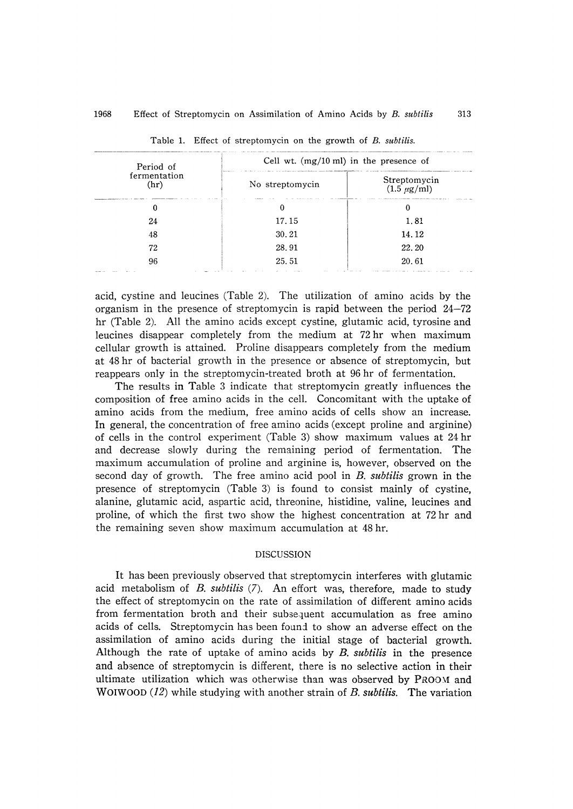| Cell wt. $(mg/10 \text{ ml})$ in the presence of |                                    |  |
|--------------------------------------------------|------------------------------------|--|
| No streptomycin                                  | Streptomycin<br>$(1.5 \ \mu g/ml)$ |  |
|                                                  |                                    |  |
| 17.15                                            | 1.81                               |  |
| 30.21                                            | 14.12                              |  |
| 28.91                                            | 22.20                              |  |
| 25.51                                            | 20.61                              |  |
|                                                  |                                    |  |

Table 1. Effect of streptomycin on the growth of B. subtilis.

acid, cystine and leucines (Table 2). The utilization of amino acids by the organism in the presence of streptomycin is rapid between the period 24-72 hr (Table 2). All the amino acids except cystine, glutamic acid, tyrosine and leucines disappear completely from the medium at 72 hr when maximum cellular growth is attained. Proline disappears completely from the medium at 48 hr of bacterial growth in the presence or absence of streptomycin, but reappears only in the streptomycin-treated broth at 96 hr of fermentation.

The results in Table 3 indicate that streptomycin greatly influences the composition of free amino acids in the cell. Concomitant with the uptake of amino acids from the medium, free amino acids of cells show an increase. In general, the concentration of free amino acids (except proline and arginine) of cells in the control experiment (Table 3) show maximum values at 24 hr and decrease slowly during the remaining period of fermentation. The maximum accumulation of proline and arginine is, however, observed on the second day of growth. The free amino acid pool in B. *subtilis* grown in the presence of streptomycin (Table 3) is found to consist mainly of cystine, alanine, glutamic acid, aspartic acid, threonine, histidine, valine, leucines and proline, of which the first two show the highest concentration at 72 hr and the remaining seven show maximum accumulation at 48 hr.

## DISCUSSION

It has been previously observed that streptomycin interferes with glutamic acid metabolism of  $B$ , subtilis  $(7)$ . An effort was, therefore, made to study the effect of streptomycin on the rate of assimilation of different amino acids from fermentation broth and their subsequent accumulation as free amino acids of cells. Streptomycin has been found to show an adverse effect on the assimilation of amino acids during the initial stage of bacterial growth. Although the rate of uptake of amino acids by B. *subtilis* in the presence and absence of streptomycin is different, there is no selective action in their ultimate utilization which was otherwise than was observed by PROOM and WOIWOOD  $(12)$  while studying with another strain of B. *subtilis*. The variation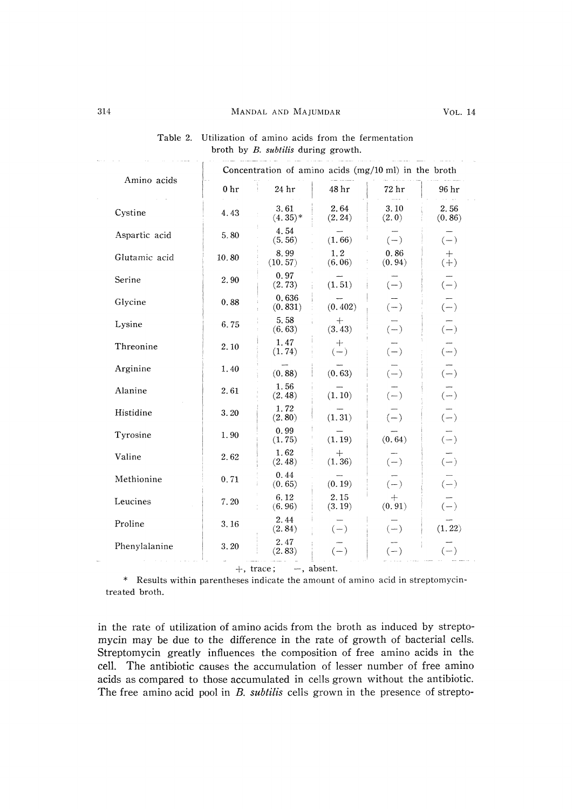## 314 MANDAL AND MAJUMDAR VOL. 14

| Amino acids   | Concentration of amino acids $(mg/10 \text{ ml})$ in the broth |                    |                  |                |                 |  |
|---------------|----------------------------------------------------------------|--------------------|------------------|----------------|-----------------|--|
|               | 0 <sub>hr</sub>                                                | 24 hr              | 48 hr            | 72 hr          | 96 hr           |  |
| Cystine       | 4.43                                                           | 3.61<br>$(4.35)^*$ | 2.64<br>(2.24)   | 3.10<br>(2.0)  | 2.56<br>(0.86)  |  |
| Aspartic acid | 5.80                                                           | 4.54<br>(5.56)     | (1.66)           | $(-)$          | $(-)$           |  |
| Glutamic acid | 10.80                                                          | 8.99<br>(10.57)    | 1.2<br>(6.06)    | 0.86<br>(0.94) | $^{+}$<br>$(+)$ |  |
| Serine        | 2.90                                                           | 0.97<br>(2.73)     | (1.51)           | $(-)$          | $(-)$           |  |
| Glycine       | 0.88                                                           | 0.636<br>(0.831)   | (0.402)          | $(-)$          | $(-)$           |  |
| Lysine        | 6.75                                                           | 5.58<br>(6.63)     | $^{+}$<br>(3.43) | $(-)$          | $(-)$           |  |
| Threonine     | 2.10                                                           | 1.47<br>(1.74)     | ┿<br>$(-)$       | $(-)$          | $(-)$           |  |
| Arginine      | 1.40                                                           | (0.88)             | (0.63)           | $(-)$          | $(-)$           |  |
| Alanine       | 2.61                                                           | 1.56<br>(2.48)     | (1.10)           | $(-)$          | $(-)$           |  |
| Histidine     | 3.20                                                           | 1.72<br>(2.80)     | (1.31)           | $(-)$          | $(-)$           |  |
| Tyrosine      | 1.90                                                           | 0.99<br>(1.75)     | (1.19)           | (0.64)         | $(-)$           |  |
| Valine        | 2.62                                                           | 1.62<br>(2.48)     | $^{+}$<br>(1.36) | $(-)$          | $(-)$           |  |
| Methionine    | 0.71                                                           | 0.44<br>(0.65)     | (0.19)           | $(-)$          | $(-)$           |  |
| Leucines      | 7.20                                                           | 6.12<br>(6.96)     | 2.15<br>(3.19)   | $+$<br>(0.91)  | $(-)$           |  |
| Proline       | 3.16                                                           | 2.44<br>(2.84)     | $(-)$            | $(-)$          | (1, 22)         |  |
| Phenylalanine | 3.20                                                           | 2.47<br>(2.83)     | $(-)$            |                |                 |  |

# Table 2. Utilization of amino acids from the ferments broth by *B. subtilis* during grow

 $+$ , trace;  $-$ , absent.

\* Results within parentheses indicate the amount of amino acid in streptomycintreated broth.

in the rate of utilization of amino acids from the broth as induced by streptomycin may be due to the difference in the rate of growth of bacterial cells. Streptomycin greatly influences the composition of free amino acids in the cell. The antibiotic causes the accumulation of lesser number of free amino acids as compared to those accumulated in cells grown without the antibiotic. The free amino acid pool in B, *subtilis* cells grown in the presence of strepto-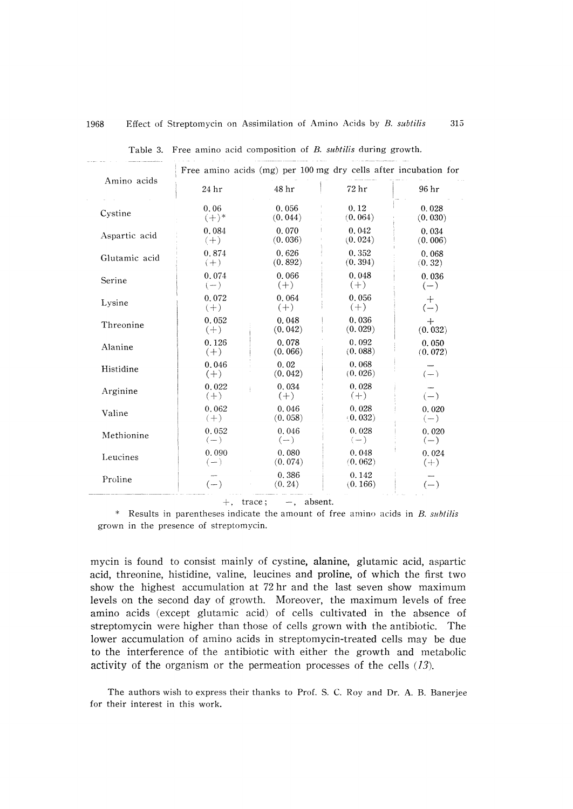| Amino acids   | Free amino acids (mg) per 100 mg dry cells after incubation for |                 |                  |         |  |
|---------------|-----------------------------------------------------------------|-----------------|------------------|---------|--|
|               | 24 hr                                                           | 48 hr           | 72 hr            | 96 hr   |  |
| Cystine       | 0.06                                                            | 0.056           | 0.12             | 0.028   |  |
|               | $(+)^*$                                                         | (0.044)         | (0.064)          | (0.030) |  |
| Aspartic acid | 0.084                                                           | 0.070           | 0.042            | 0.034   |  |
|               | $(+)$                                                           | (0.036)         | (0.024)          | (0.006) |  |
| Glutamic acid | 0.874                                                           | 0.626           | 0.352            | 0.068   |  |
|               | $(+)$                                                           | (0.892)         | (0.394)          | (0.32)  |  |
| Serine        | 0.074                                                           | 0.066           | 0.048            | 0.036   |  |
|               | $(-)$                                                           | $(+)$           | $(+)$            | $(-)$   |  |
| Lysine        | 0.072                                                           | 0.064           | 0.056            | $+$     |  |
|               | $(+)$                                                           | $(+)$           | $(+)$            | $(-)$   |  |
| Threonine     | 0.052                                                           | 0.048           | 0.036            | $+$     |  |
|               | $(+)$                                                           | (0.042)         | (0.029)          | (0.032) |  |
| Alanine       | 0.126                                                           | 0.078           | 0.092            | 0.050   |  |
|               | $(+)$                                                           | (0.066)         | (0.088)          | (0.072) |  |
| Histidine     | 0.046<br>$(+)$                                                  | 0.02<br>(0.042) | 0.068<br>(0.026) | $(-)$   |  |
| Arginine      | 0.022<br>$(+)$                                                  | 0.034<br>$(+)$  | 0.028<br>$(+)$   | $(-)$   |  |
| Valine        | 0.062                                                           | 0.046           | 0.028            | 0.020   |  |
|               | $(+)$                                                           | (0.058)         | (0.032)          | $(-)$   |  |
| Methionine    | 0.052                                                           | 0.046           | 0.028            | 0.020   |  |
|               | $(-)$                                                           | $(-)$           | $(-)$            | $(-)$   |  |
| Leucines      | 0.090                                                           | 0.080           | 0.048            | 0.024   |  |
|               | $(-)$                                                           | (0.074)         | (0.062)          | $(+)$   |  |
| Proline       | $(-)$                                                           | 0.386<br>(0.24) | 0.142<br>(0.166) | $(-)$   |  |

Table 3. Free amino acid composition of B. subtilis during growth.

\* Results in parentheses indicate the amount of free amino acids in B. subtilis grown in the presence of streptomycin.

mycin is found to consist mainly of cystine, alanine, glutamic acid, aspartic acid, threonine, histidine, valine, leucines and proline, of which the first two show the highest accumulation at 72 hr and the last seven show maximum levels on the second day of growth. Moreover, the maximum levels of free amino acids (except glutamic acid) of cells cultivated in the absence of streptomycin were higher than those of cells grown with the antibiotic. The lower accumulation of amino acids in streptomycin-treated cells may be due to the interference of the antibiotic with either the growth and metabolic activity of the organism or the permeation processes of the cells (13).

The authors wish to express their thanks to Prof. S. C. Roy and Dr. A. B. Banerie for their interest in this work.